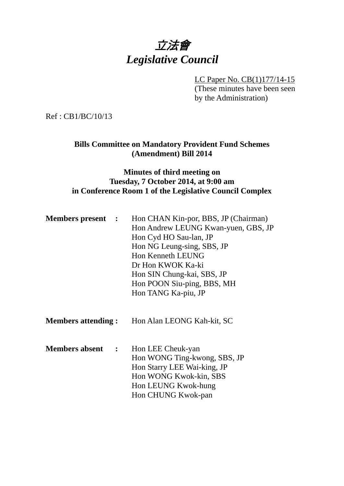# 立法會 *Legislative Council*

LC Paper No. CB(1)177/14-15

(These minutes have been seen by the Administration)

Ref : CB1/BC/10/13

#### **Bills Committee on Mandatory Provident Fund Schemes (Amendment) Bill 2014**

### **Minutes of third meeting on Tuesday, 7 October 2014, at 9:00 am in Conference Room 1 of the Legislative Council Complex**

| <b>Members present</b> :                | Hon CHAN Kin-por, BBS, JP (Chairman)<br>Hon Andrew LEUNG Kwan-yuen, GBS, JP<br>Hon Cyd HO Sau-lan, JP<br>Hon NG Leung-sing, SBS, JP<br><b>Hon Kenneth LEUNG</b><br>Dr Hon KWOK Ka-ki<br>Hon SIN Chung-kai, SBS, JP<br>Hon POON Siu-ping, BBS, MH<br>Hon TANG Ka-piu, JP |
|-----------------------------------------|-------------------------------------------------------------------------------------------------------------------------------------------------------------------------------------------------------------------------------------------------------------------------|
| <b>Members attending :</b>              | Hon Alan LEONG Kah-kit, SC                                                                                                                                                                                                                                              |
| <b>Members absent</b><br>$\mathbb{R}^2$ | Hon LEE Cheuk-yan<br>Hon WONG Ting-kwong, SBS, JP<br>Hon Starry LEE Wai-king, JP<br>Hon WONG Kwok-kin, SBS<br>Hon LEUNG Kwok-hung<br>Hon CHUNG Kwok-pan                                                                                                                 |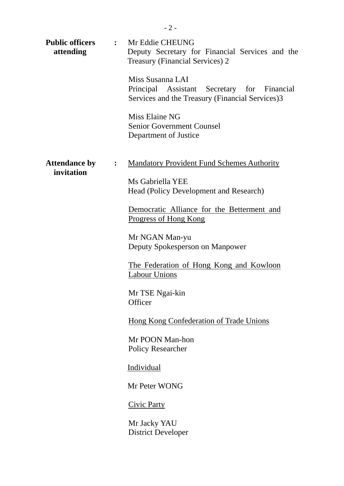| attending                          |                | <b>Public officers : Mr Eddie CHEUNG</b><br>Deputy Secretary for Financial Services and the<br><b>Treasury (Financial Services) 2</b> |
|------------------------------------|----------------|---------------------------------------------------------------------------------------------------------------------------------------|
|                                    |                | Miss Susanna LAI<br>Principal Assistant Secretary for Financial<br>Services and the Treasury (Financial Services)3                    |
|                                    |                | Miss Elaine NG<br><b>Senior Government Counsel</b><br>Department of Justice                                                           |
| <b>Attendance by</b><br>invitation | $\ddot{\cdot}$ | <b>Mandatory Provident Fund Schemes Authority</b>                                                                                     |
|                                    |                | Ms Gabriella YEE<br>Head (Policy Development and Research)                                                                            |
|                                    |                | Democratic Alliance for the Betterment and<br><u>Progress of Hong Kong</u>                                                            |
|                                    |                | Mr NGAN Man-yu<br>Deputy Spokesperson on Manpower                                                                                     |
|                                    |                | <u>The Federation of Hong Kong and Kowloon</u><br><b>Labour Unions</b>                                                                |
|                                    |                | Mr TSE Ngai-kin<br>Officer                                                                                                            |
|                                    |                | <b>Hong Kong Confederation of Trade Unions</b>                                                                                        |
|                                    |                | Mr POON Man-hon<br><b>Policy Researcher</b>                                                                                           |
|                                    |                | <b>Individual</b>                                                                                                                     |
|                                    |                | Mr Peter WONG                                                                                                                         |
|                                    |                | <b>Civic Party</b>                                                                                                                    |
|                                    |                | Mr Jacky YAU<br><b>District Developer</b>                                                                                             |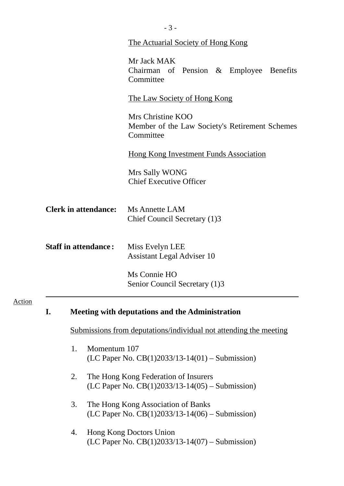|    |                    | The Actuarial Society of Hong Kong                                                        |
|----|--------------------|-------------------------------------------------------------------------------------------|
|    |                    | Mr Jack MAK<br>Chairman of Pension & Employee Benefits<br>Committee                       |
|    |                    | <u>The Law Society of Hong Kong</u>                                                       |
|    |                    | Mrs Christine KOO<br>Member of the Law Society's Retirement Schemes<br>Committee          |
|    |                    | <b>Hong Kong Investment Funds Association</b>                                             |
|    |                    | Mrs Sally WONG<br><b>Chief Executive Officer</b>                                          |
|    |                    | <b>Ms Annette LAM</b><br>Chief Council Secretary (1)3                                     |
|    |                    | Miss Evelyn LEE<br><b>Assistant Legal Adviser 10</b>                                      |
|    |                    | Ms Connie HO<br>Senior Council Secretary (1)3                                             |
| I. |                    | <b>Meeting with deputations and the Administration</b>                                    |
|    |                    | <u>Submissions from deputations/individual not attending the meeting</u>                  |
|    | 1.<br>Momentum 107 | (LC Paper No. $CB(1)2033/13-14(01) -$ Submission)                                         |
|    | 2.                 | The Hong Kong Federation of Insurers<br>(LC Paper No. $CB(1)2033/13-14(05)$ – Submission) |
|    | 3.                 | The Hong Kong Association of Banks<br>(LC Paper No. $CB(1)2033/13-14(06) -$ Submission)   |
|    | 4.                 | Hong Kong Doctors Union<br>(LC Paper No. $CB(1)2033/13-14(07)$ – Submission)              |
|    |                    | <b>Clerk in attendance:</b><br><b>Staff in attendance:</b>                                |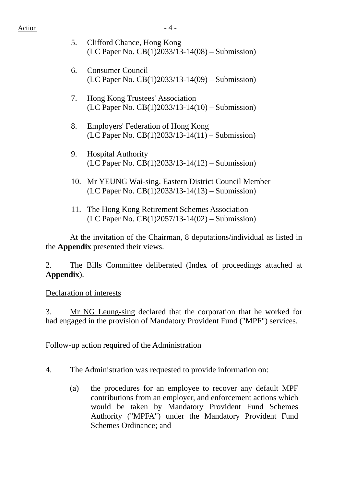- 5. Clifford Chance, Hong Kong (LC Paper No. CB(1)2033/13-14(08) – Submission)
- 6. Consumer Council (LC Paper No. CB(1)2033/13-14(09) – Submission)
- 7. Hong Kong Trustees' Association (LC Paper No. CB(1)2033/13-14(10) – Submission)
- 8. Employers' Federation of Hong Kong (LC Paper No. CB(1)2033/13-14(11) – Submission)
- 9. Hospital Authority (LC Paper No. CB(1)2033/13-14(12) – Submission)
- 10. Mr YEUNG Wai-sing, Eastern District Council Member (LC Paper No. CB(1)2033/13-14(13) – Submission)
- 11. The Hong Kong Retirement Schemes Association (LC Paper No. CB(1)2057/13-14(02) – Submission)

 At the invitation of the Chairman, 8 deputations/individual as listed in the **Appendix** presented their views.

2. The Bills Committee deliberated (Index of proceedings attached at **Appendix**).

# Declaration of interests

3. Mr NG Leung-sing declared that the corporation that he worked for had engaged in the provision of Mandatory Provident Fund ("MPF") services.

# Follow-up action required of the Administration

- 4. The Administration was requested to provide information on:
	- (a) the procedures for an employee to recover any default MPF contributions from an employer, and enforcement actions which would be taken by Mandatory Provident Fund Schemes Authority ("MPFA") under the Mandatory Provident Fund Schemes Ordinance; and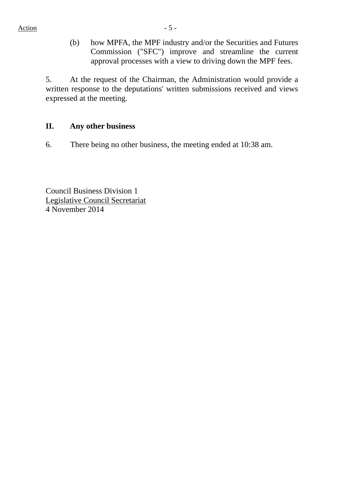(b) how MPFA, the MPF industry and/or the Securities and Futures Commission ("SFC") improve and streamline the current approval processes with a view to driving down the MPF fees.

5. At the request of the Chairman, the Administration would provide a written response to the deputations' written submissions received and views expressed at the meeting.

### **II. Any other business**

6. There being no other business, the meeting ended at 10:38 am.

Council Business Division 1 Legislative Council Secretariat 4 November 2014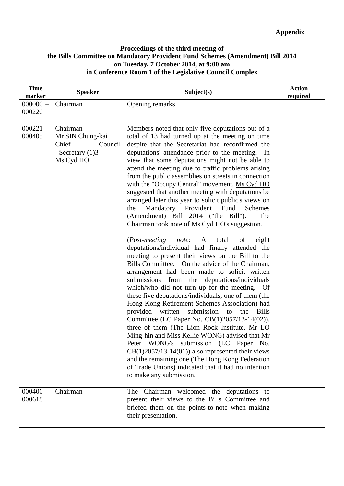#### **Proceedings of the third meeting of the Bills Committee on Mandatory Provident Fund Schemes (Amendment) Bill 2014 on Tuesday, 7 October 2014, at 9:00 am in Conference Room 1 of the Legislative Council Complex**

| <b>Time</b><br>marker | <b>Speaker</b>                                                                     | Subject(s)                                                                                                                                                                                                                                                                                                                                                                                                                                                                                                                                                                                                                                                                                                                                                                                                                                                                                                                                                                                                                                                                                                                                                                                                                                                                                                                                                                                                                                                                                                                                                                                                                                | <b>Action</b><br>required |
|-----------------------|------------------------------------------------------------------------------------|-------------------------------------------------------------------------------------------------------------------------------------------------------------------------------------------------------------------------------------------------------------------------------------------------------------------------------------------------------------------------------------------------------------------------------------------------------------------------------------------------------------------------------------------------------------------------------------------------------------------------------------------------------------------------------------------------------------------------------------------------------------------------------------------------------------------------------------------------------------------------------------------------------------------------------------------------------------------------------------------------------------------------------------------------------------------------------------------------------------------------------------------------------------------------------------------------------------------------------------------------------------------------------------------------------------------------------------------------------------------------------------------------------------------------------------------------------------------------------------------------------------------------------------------------------------------------------------------------------------------------------------------|---------------------------|
| $000000 -$<br>000220  | Chairman                                                                           | Opening remarks                                                                                                                                                                                                                                                                                                                                                                                                                                                                                                                                                                                                                                                                                                                                                                                                                                                                                                                                                                                                                                                                                                                                                                                                                                                                                                                                                                                                                                                                                                                                                                                                                           |                           |
| $000221 -$<br>000405  | Chairman<br>Mr SIN Chung-kai<br>Chief<br>Council<br>Secretary $(1)$ 3<br>Ms Cyd HO | Members noted that only five deputations out of a<br>total of 13 had turned up at the meeting on time<br>despite that the Secretariat had reconfirmed the<br>deputations' attendance prior to the meeting. In<br>view that some deputations might not be able to<br>attend the meeting due to traffic problems arising<br>from the public assemblies on streets in connection<br>with the "Occupy Central" movement, Ms Cyd HO<br>suggested that another meeting with deputations be<br>arranged later this year to solicit public's views on<br>Mandatory Provident<br>Fund<br>Schemes<br>the<br>(Amendment) Bill 2014 ("the Bill").<br>The<br>Chairman took note of Ms Cyd HO's suggestion.<br>( <i>Post-meeting</i><br>note:<br>eight<br>A<br>total<br>of<br>deputations/individual had finally attended the<br>meeting to present their views on the Bill to the<br>Bills Committee. On the advice of the Chairman,<br>arrangement had been made to solicit written<br>submissions from the deputations/individuals<br>which/who did not turn up for the meeting. Of<br>these five deputations/individuals, one of them (the<br>Hong Kong Retirement Schemes Association) had<br>provided written<br>submission<br>the<br><b>Bills</b><br>to<br>Committee (LC Paper No. CB(1)2057/13-14(02)),<br>three of them (The Lion Rock Institute, Mr LO<br>Ming-hin and Miss Kellie WONG) advised that Mr<br>Peter WONG's submission (LC Paper No.<br>$CB(1)2057/13-14(01))$ also represented their views<br>and the remaining one (The Hong Kong Federation<br>of Trade Unions) indicated that it had no intention<br>to make any submission. |                           |
| $000406 -$<br>000618  | Chairman                                                                           | The Chairman welcomed the deputations to<br>present their views to the Bills Committee and<br>briefed them on the points-to-note when making<br>their presentation.                                                                                                                                                                                                                                                                                                                                                                                                                                                                                                                                                                                                                                                                                                                                                                                                                                                                                                                                                                                                                                                                                                                                                                                                                                                                                                                                                                                                                                                                       |                           |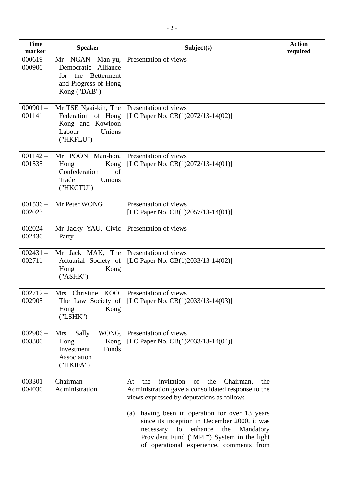| <b>Time</b><br>marker | <b>Speaker</b>                                                                                                              | Subject(s)                                                                                                                                                                                                                                                                                                                                                                                                     | <b>Action</b><br>required |
|-----------------------|-----------------------------------------------------------------------------------------------------------------------------|----------------------------------------------------------------------------------------------------------------------------------------------------------------------------------------------------------------------------------------------------------------------------------------------------------------------------------------------------------------------------------------------------------------|---------------------------|
| $000619 -$<br>000900  | NGAN<br>Man-yu,<br>Mr<br>Democratic<br>Alliance<br>the<br><b>Betterment</b><br>for.<br>and Progress of Hong<br>Kong ("DAB") | Presentation of views                                                                                                                                                                                                                                                                                                                                                                                          |                           |
| $000901 -$<br>001141  | Mr TSE Ngai-kin, The<br>Federation of Hong<br>Kong and Kowloon<br>Labour<br>Unions<br>("HKFLU")                             | Presentation of views<br>[LC Paper No. $CB(1)2072/13-14(02)$ ]                                                                                                                                                                                                                                                                                                                                                 |                           |
| $001142 -$<br>001535  | Mr POON Man-hon,<br>Hong<br>Kong<br>Confederation<br>of<br>Unions<br>Trade<br>("HKCTU")                                     | Presentation of views<br>[LC Paper No. $CB(1)2072/13-14(01)$ ]                                                                                                                                                                                                                                                                                                                                                 |                           |
| $001536 -$<br>002023  | Mr Peter WONG                                                                                                               | Presentation of views<br>[LC Paper No. $CB(1)2057/13-14(01)$ ]                                                                                                                                                                                                                                                                                                                                                 |                           |
| $002024 -$<br>002430  | Mr Jacky YAU, Civic<br>Party                                                                                                | Presentation of views                                                                                                                                                                                                                                                                                                                                                                                          |                           |
| $002431 -$<br>002711  | Mr Jack MAK, The<br>Actuarial Society of<br>Kong<br>Hong<br>("ASHK")                                                        | Presentation of views<br>[LC Paper No. $CB(1)2033/13-14(02)$ ]                                                                                                                                                                                                                                                                                                                                                 |                           |
| $002712-$<br>002905   | Mrs Christine KOO, Presentation of views<br>Kong<br>Hong<br>$($ "LSHK" $)$                                                  | The Law Society of [LC Paper No. CB $(1)$ 2033/13-14 $(03)$ ]                                                                                                                                                                                                                                                                                                                                                  |                           |
| $002906 -$<br>003300  | Sally<br>WONG,<br><b>Mrs</b><br>Hong<br>Kong<br>Investment<br>Funds<br>Association<br>("HKIFA")                             | Presentation of views<br>[LC Paper No. CB(1)2033/13-14(04)]                                                                                                                                                                                                                                                                                                                                                    |                           |
| $003301 -$<br>004030  | Chairman<br>Administration                                                                                                  | invitation<br>of<br>the<br>Chairman,<br>At<br>the<br>the<br>Administration gave a consolidated response to the<br>views expressed by deputations as follows –<br>having been in operation for over 13 years<br>(a)<br>since its inception in December 2000, it was<br>enhance<br>to<br>the<br>Mandatory<br>necessary<br>Provident Fund ("MPF") System in the light<br>of operational experience, comments from |                           |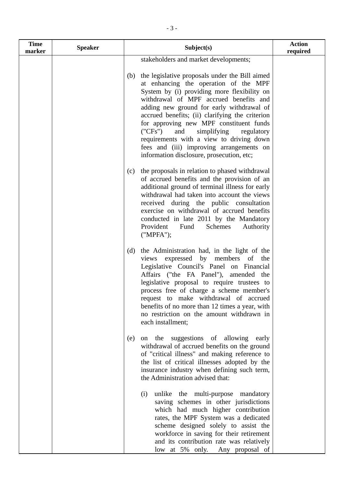| <b>Time</b><br>marker | <b>Speaker</b> | Subject(s)                                                                                                                                                                                                                                                                                                                                                                                                                                                                                                          | <b>Action</b><br>required |
|-----------------------|----------------|---------------------------------------------------------------------------------------------------------------------------------------------------------------------------------------------------------------------------------------------------------------------------------------------------------------------------------------------------------------------------------------------------------------------------------------------------------------------------------------------------------------------|---------------------------|
|                       |                | stakeholders and market developments;                                                                                                                                                                                                                                                                                                                                                                                                                                                                               |                           |
|                       |                | the legislative proposals under the Bill aimed<br>(b)<br>at enhancing the operation of the MPF<br>System by (i) providing more flexibility on<br>withdrawal of MPF accrued benefits and<br>adding new ground for early withdrawal of<br>accrued benefits; (ii) clarifying the criterion<br>for approving new MPF constituent funds<br>("CFs")<br>and<br>simplifying regulatory<br>requirements with a view to driving down<br>fees and (iii) improving arrangements on<br>information disclosure, prosecution, etc; |                           |
|                       |                | the proposals in relation to phased withdrawal<br>(c)<br>of accrued benefits and the provision of an<br>additional ground of terminal illness for early<br>withdrawal had taken into account the views<br>received during the public consultation<br>exercise on withdrawal of accrued benefits<br>conducted in late 2011 by the Mandatory<br>Provident<br>Schemes<br>Authority<br>Fund<br>('MPFA');                                                                                                                |                           |
|                       |                | the Administration had, in the light of the<br>(d)<br>expressed by members of the<br>views<br>Legislative Council's Panel on Financial<br>Affairs ("the FA Panel"), amended the<br>legislative proposal to require trustees to<br>process free of charge a scheme member's<br>request to make withdrawal of accrued<br>benefits of no more than 12 times a year, with<br>no restriction on the amount withdrawn in<br>each installment;                                                                             |                           |
|                       |                | the suggestions of<br>allowing<br>early<br>(e)<br>on<br>withdrawal of accrued benefits on the ground<br>of "critical illness" and making reference to<br>the list of critical illnesses adopted by the<br>insurance industry when defining such term,<br>the Administration advised that:                                                                                                                                                                                                                           |                           |
|                       |                | unlike the multi-purpose mandatory<br>(i)<br>saving schemes in other jurisdictions<br>which had much higher contribution<br>rates, the MPF System was a dedicated<br>scheme designed solely to assist the<br>workforce in saving for their retirement<br>and its contribution rate was relatively<br>low at 5% only. Any proposal of                                                                                                                                                                                |                           |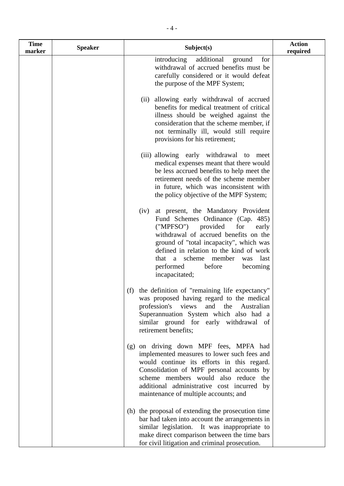| <b>Time</b><br>marker | <b>Speaker</b> | Subject(s)                                                                                                                                                                                                                                                                                                                                              | <b>Action</b><br>required |
|-----------------------|----------------|---------------------------------------------------------------------------------------------------------------------------------------------------------------------------------------------------------------------------------------------------------------------------------------------------------------------------------------------------------|---------------------------|
|                       |                | introducing<br>additional<br>for<br>ground<br>withdrawal of accrued benefits must be<br>carefully considered or it would defeat<br>the purpose of the MPF System;                                                                                                                                                                                       |                           |
|                       |                | allowing early withdrawal of accrued<br>(ii)<br>benefits for medical treatment of critical<br>illness should be weighed against the<br>consideration that the scheme member, if<br>not terminally ill, would still require<br>provisions for his retirement;                                                                                            |                           |
|                       |                | (iii) allowing early withdrawal to meet<br>medical expenses meant that there would<br>be less accrued benefits to help meet the<br>retirement needs of the scheme member<br>in future, which was inconsistent with<br>the policy objective of the MPF System;                                                                                           |                           |
|                       |                | at present, the Mandatory Provident<br>(iv)<br>Fund Schemes Ordinance (Cap. 485)<br>("MPFSO")<br>provided<br>for<br>early<br>withdrawal of accrued benefits on the<br>ground of "total incapacity", which was<br>defined in relation to the kind of work<br>scheme member<br>last<br>that a<br>was<br>before<br>performed<br>becoming<br>incapacitated; |                           |
|                       |                | the definition of "remaining life expectancy"<br>(f)<br>was proposed having regard to the medical<br>profession's views<br>and<br>the<br>Australian<br>Superannuation System which also had a<br>similar ground for early withdrawal of<br>retirement benefits;                                                                                         |                           |
|                       |                | (g) on driving down MPF fees, MPFA had<br>implemented measures to lower such fees and<br>would continue its efforts in this regard.<br>Consolidation of MPF personal accounts by<br>scheme members would also reduce the<br>additional administrative cost incurred by<br>maintenance of multiple accounts; and                                         |                           |
|                       |                | (h) the proposal of extending the prosecution time<br>bar had taken into account the arrangements in<br>similar legislation. It was inappropriate to<br>make direct comparison between the time bars<br>for civil litigation and criminal prosecution.                                                                                                  |                           |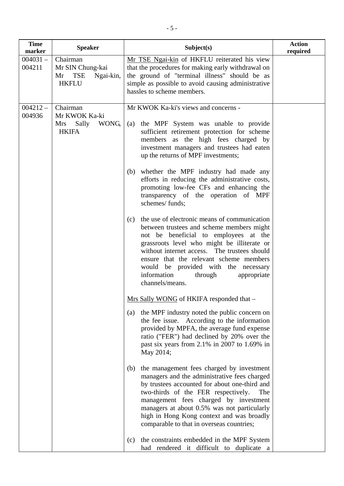| <b>Time</b><br>marker | <b>Speaker</b>                                                         | Subject(s)                                                                                                                                                                                                                                                                                                                                                                                                                                                          | <b>Action</b><br>required |
|-----------------------|------------------------------------------------------------------------|---------------------------------------------------------------------------------------------------------------------------------------------------------------------------------------------------------------------------------------------------------------------------------------------------------------------------------------------------------------------------------------------------------------------------------------------------------------------|---------------------------|
| $004031 -$<br>004211  | Chairman<br>Mr SIN Chung-kai<br>TSE<br>Ngai-kin,<br>Mr<br><b>HKFLU</b> | Mr TSE Ngai-kin of HKFLU reiterated his view<br>that the procedures for making early withdrawal on<br>the ground of "terminal illness" should be as<br>simple as possible to avoid causing administrative<br>hassles to scheme members.                                                                                                                                                                                                                             |                           |
| $004212 -$<br>004936  | Chairman<br>Mr KWOK Ka-ki<br>Sally<br>WONG,<br>Mrs<br><b>HKIFA</b>     | Mr KWOK Ka-ki's views and concerns -<br>the MPF System was unable to provide<br>(a)<br>sufficient retirement protection for scheme<br>members as the high fees charged by<br>investment managers and trustees had eaten<br>up the returns of MPF investments;<br>whether the MPF industry had made any<br>(b)<br>efforts in reducing the administrative costs,<br>promoting low-fee CFs and enhancing the<br>transparency of the operation of MPF<br>schemes/funds; |                           |
|                       |                                                                        | the use of electronic means of communication<br>(c)<br>between trustees and scheme members might<br>not be beneficial to employees at the<br>grassroots level who might be illiterate or<br>without internet access. The trustees should<br>ensure that the relevant scheme members<br>would be provided with the necessary<br>information<br>through<br>appropriate<br>channels/means.                                                                             |                           |
|                       |                                                                        | Mrs Sally WONG of HKIFA responded that -<br>the MPF industry noted the public concern on<br>(a)<br>the fee issue. According to the information<br>provided by MPFA, the average fund expense<br>ratio ("FER") had declined by 20% over the<br>past six years from 2.1% in 2007 to 1.69% in<br>May 2014;                                                                                                                                                             |                           |
|                       |                                                                        | the management fees charged by investment<br>(b)<br>managers and the administrative fees charged<br>by trustees accounted for about one-third and<br>two-thirds of the FER respectively.<br>The<br>management fees charged by investment<br>managers at about 0.5% was not particularly<br>high in Hong Kong context and was broadly<br>comparable to that in overseas countries;                                                                                   |                           |
|                       |                                                                        | the constraints embedded in the MPF System<br>(c)<br>had rendered it difficult to duplicate a                                                                                                                                                                                                                                                                                                                                                                       |                           |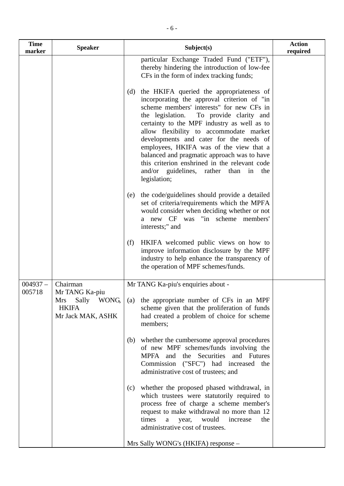| <b>Time</b><br>marker | <b>Speaker</b>                                                            | Subject(s)                                                                                                                                                                                                                                                                                                                                                                                                                                                                                                                            | <b>Action</b><br>required |
|-----------------------|---------------------------------------------------------------------------|---------------------------------------------------------------------------------------------------------------------------------------------------------------------------------------------------------------------------------------------------------------------------------------------------------------------------------------------------------------------------------------------------------------------------------------------------------------------------------------------------------------------------------------|---------------------------|
|                       |                                                                           | particular Exchange Traded Fund ("ETF"),<br>thereby hindering the introduction of low-fee<br>CFs in the form of index tracking funds;                                                                                                                                                                                                                                                                                                                                                                                                 |                           |
|                       |                                                                           | the HKIFA queried the appropriateness of<br>(d)<br>incorporating the approval criterion of "in<br>scheme members' interests" for new CFs in<br>the legislation.<br>To provide clarity and<br>certainty to the MPF industry as well as to<br>allow flexibility to accommodate market<br>developments and cater for the needs of<br>employees, HKIFA was of the view that a<br>balanced and pragmatic approach was to have<br>this criterion enshrined in the relevant code<br>and/or guidelines, rather than in<br>the<br>legislation; |                           |
|                       |                                                                           | the code/guidelines should provide a detailed<br>(e)<br>set of criteria/requirements which the MPFA<br>would consider when deciding whether or not<br>a new CF was "in scheme members"<br>interests;" and                                                                                                                                                                                                                                                                                                                             |                           |
|                       |                                                                           | HKIFA welcomed public views on how to<br>(f)<br>improve information disclosure by the MPF<br>industry to help enhance the transparency of<br>the operation of MPF schemes/funds.                                                                                                                                                                                                                                                                                                                                                      |                           |
| $004937 -$            | Chairman                                                                  | Mr TANG Ka-piu's enquiries about -                                                                                                                                                                                                                                                                                                                                                                                                                                                                                                    |                           |
| 005718                | Mr TANG Ka-piu<br>Sally WONG,<br>Mrs<br><b>HKIFA</b><br>Mr Jack MAK, ASHK | (a) the appropriate number of CFs in an MPF<br>scheme given that the proliferation of funds<br>had created a problem of choice for scheme<br>members;                                                                                                                                                                                                                                                                                                                                                                                 |                           |
|                       |                                                                           | (b) whether the cumbersome approval procedures<br>of new MPF schemes/funds involving the<br>MPFA and the Securities and Futures<br>Commission ("SFC") had increased the<br>administrative cost of trustees; and                                                                                                                                                                                                                                                                                                                       |                           |
|                       |                                                                           | (c) whether the proposed phased withdrawal, in<br>which trustees were statutorily required to<br>process free of charge a scheme member's<br>request to make withdrawal no more than 12<br>times<br>would<br>increase<br>a<br>year,<br>the<br>administrative cost of trustees.                                                                                                                                                                                                                                                        |                           |
|                       |                                                                           | Mrs Sally WONG's (HKIFA) response -                                                                                                                                                                                                                                                                                                                                                                                                                                                                                                   |                           |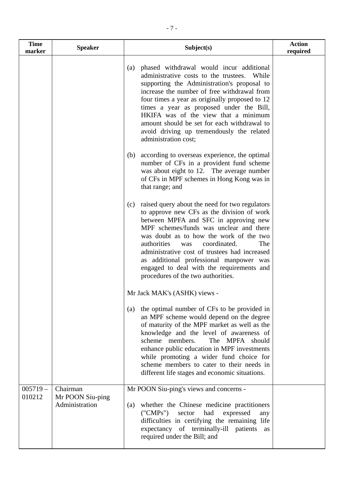| <b>Time</b><br>marker | <b>Speaker</b>               | Subject(s)                                                                                                                                                                                                                                                                                                                                                                                                                                                     | <b>Action</b><br>required |
|-----------------------|------------------------------|----------------------------------------------------------------------------------------------------------------------------------------------------------------------------------------------------------------------------------------------------------------------------------------------------------------------------------------------------------------------------------------------------------------------------------------------------------------|---------------------------|
|                       |                              | phased withdrawal would incur additional<br>(a)<br>administrative costs to the trustees.<br>While<br>supporting the Administration's proposal to<br>increase the number of free withdrawal from<br>four times a year as originally proposed to 12<br>times a year as proposed under the Bill,<br>HKIFA was of the view that a minimum<br>amount should be set for each withdrawal to<br>avoid driving up tremendously the related<br>administration cost;      |                           |
|                       |                              | according to overseas experience, the optimal<br>(b)<br>number of CFs in a provident fund scheme<br>was about eight to 12. The average number<br>of CFs in MPF schemes in Hong Kong was in<br>that range; and                                                                                                                                                                                                                                                  |                           |
|                       |                              | raised query about the need for two regulators<br>(c)<br>to approve new CFs as the division of work<br>between MPFA and SFC in approving new<br>MPF schemes/funds was unclear and there<br>was doubt as to how the work of the two<br>authorities<br>coordinated.<br>The<br>was<br>administrative cost of trustees had increased<br>as additional professional manpower was<br>engaged to deal with the requirements and<br>procedures of the two authorities. |                           |
|                       |                              | Mr Jack MAK's (ASHK) views -                                                                                                                                                                                                                                                                                                                                                                                                                                   |                           |
|                       |                              | the optimal number of CFs to be provided in<br>(a)<br>an MPF scheme would depend on the degree<br>of maturity of the MPF market as well as the<br>knowledge and the level of awareness of<br>The MPFA should<br>scheme members.<br>enhance public education in MPF investments<br>while promoting a wider fund choice for<br>scheme members to cater to their needs in<br>different life stages and economic situations.                                       |                           |
| $005719 -$<br>010212  | Chairman<br>Mr POON Siu-ping | Mr POON Siu-ping's views and concerns -                                                                                                                                                                                                                                                                                                                                                                                                                        |                           |
|                       | Administration               | whether the Chinese medicine practitioners<br>(a)<br>("CMPs")<br>had<br>sector<br>expressed<br>any<br>difficulties in certifying the remaining life<br>expectancy of terminally-ill patients<br>as<br>required under the Bill; and                                                                                                                                                                                                                             |                           |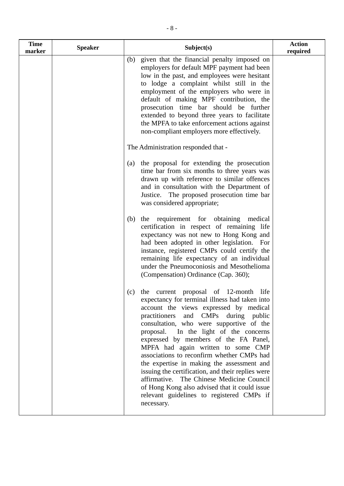| <b>Time</b><br>marker | <b>Speaker</b> | Subject(s)                                                                                                                                                                                                                                                                                                                                                                                                                                                                                                                                                                                                                                                      | <b>Action</b><br>required |
|-----------------------|----------------|-----------------------------------------------------------------------------------------------------------------------------------------------------------------------------------------------------------------------------------------------------------------------------------------------------------------------------------------------------------------------------------------------------------------------------------------------------------------------------------------------------------------------------------------------------------------------------------------------------------------------------------------------------------------|---------------------------|
|                       |                | (b) given that the financial penalty imposed on<br>employers for default MPF payment had been<br>low in the past, and employees were hesitant<br>to lodge a complaint whilst still in the<br>employment of the employers who were in<br>default of making MPF contribution, the<br>prosecution time bar should be further<br>extended to beyond three years to facilitate<br>the MPFA to take enforcement actions against<br>non-compliant employers more effectively.                                                                                                                                                                                          |                           |
|                       |                | The Administration responded that -                                                                                                                                                                                                                                                                                                                                                                                                                                                                                                                                                                                                                             |                           |
|                       |                | the proposal for extending the prosecution<br>(a)<br>time bar from six months to three years was<br>drawn up with reference to similar offences<br>and in consultation with the Department of<br>Justice. The proposed prosecution time bar<br>was considered appropriate;                                                                                                                                                                                                                                                                                                                                                                                      |                           |
|                       |                | the requirement for obtaining medical<br>(b)<br>certification in respect of remaining life<br>expectancy was not new to Hong Kong and<br>had been adopted in other legislation. For<br>instance, registered CMPs could certify the<br>remaining life expectancy of an individual<br>under the Pneumoconiosis and Mesothelioma<br>(Compensation) Ordinance (Cap. 360);                                                                                                                                                                                                                                                                                           |                           |
|                       |                | (c) the current proposal of 12-month life<br>expectancy for terminal illness had taken into<br>account the views expressed by medical<br>practitioners<br>and CMPs during public<br>consultation, who were supportive of the<br>proposal. In the light of the concerns<br>expressed by members of the FA Panel,<br>MPFA had again written to some CMP<br>associations to reconfirm whether CMPs had<br>the expertise in making the assessment and<br>issuing the certification, and their replies were<br>affirmative. The Chinese Medicine Council<br>of Hong Kong also advised that it could issue<br>relevant guidelines to registered CMPs if<br>necessary. |                           |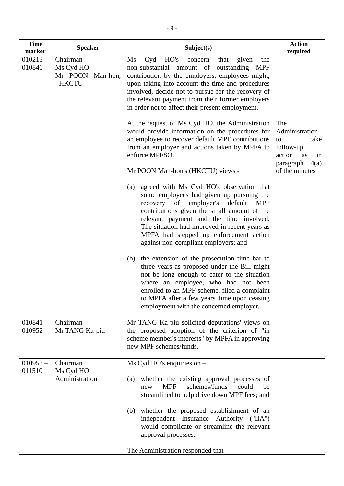| <b>Time</b><br>marker | <b>Speaker</b>                                            | Subject(s)                                                                                                                                                                                                                                                                                                                                                                                                                                                                                                                                                                                                                                                                                                                                                                                                                                                                                                                                                                                                                                                                                                                                                                                                                                                                                                                                                    | <b>Action</b><br>required                                                                                    |
|-----------------------|-----------------------------------------------------------|---------------------------------------------------------------------------------------------------------------------------------------------------------------------------------------------------------------------------------------------------------------------------------------------------------------------------------------------------------------------------------------------------------------------------------------------------------------------------------------------------------------------------------------------------------------------------------------------------------------------------------------------------------------------------------------------------------------------------------------------------------------------------------------------------------------------------------------------------------------------------------------------------------------------------------------------------------------------------------------------------------------------------------------------------------------------------------------------------------------------------------------------------------------------------------------------------------------------------------------------------------------------------------------------------------------------------------------------------------------|--------------------------------------------------------------------------------------------------------------|
| $010213 -$<br>010840  | Chairman<br>Ms Cyd HO<br>Mr POON Man-hon,<br><b>HKCTU</b> | Cyd<br>HO's<br>Ms<br>given<br>the<br>that<br>concern<br>non-substantial amount of outstanding MPF<br>contribution by the employers, employees might,<br>upon taking into account the time and procedures<br>involved, decide not to pursue for the recovery of<br>the relevant payment from their former employers<br>in order not to affect their present employment.<br>At the request of Ms Cyd HO, the Administration<br>would provide information on the procedures for<br>an employee to recover default MPF contributions<br>from an employer and actions taken by MPFA to<br>enforce MPFSO.<br>Mr POON Man-hon's (HKCTU) views -<br>agreed with Ms Cyd HO's observation that<br>(a)<br>some employees had given up pursuing the<br>recovery of employer's default<br><b>MPF</b><br>contributions given the small amount of the<br>relevant payment and the time involved.<br>The situation had improved in recent years as<br>MPFA had stepped up enforcement action<br>against non-compliant employers; and<br>the extension of the prosecution time bar to<br>(b)<br>three years as proposed under the Bill might<br>not be long enough to cater to the situation<br>where an employee, who had not been<br>enrolled to an MPF scheme, filed a complaint<br>to MPFA after a few years' time upon ceasing<br>employment with the concerned employer. | The<br>Administration<br>take<br>to<br>follow-up<br>action<br>as<br>in<br>paragraph $4(a)$<br>of the minutes |
| $010841 -$<br>010952  | Chairman<br>Mr TANG Ka-piu                                | Mr TANG Ka-piu solicited deputations' views on<br>the proposed adoption of the criterion of "in<br>scheme member's interests" by MPFA in approving<br>new MPF schemes/funds.                                                                                                                                                                                                                                                                                                                                                                                                                                                                                                                                                                                                                                                                                                                                                                                                                                                                                                                                                                                                                                                                                                                                                                                  |                                                                                                              |
| $010953 -$<br>011510  | Chairman<br>Ms Cyd HO<br>Administration                   | $Ms$ Cyd HO's enquiries on $-$<br>whether the existing approval processes of<br>(a)<br>schemes/funds<br><b>MPF</b><br>could<br>be<br>new<br>streamlined to help drive down MPF fees; and<br>whether the proposed establishment of an<br>(b)<br>independent Insurance Authority ("IIA")<br>would complicate or streamline the relevant<br>approval processes.<br>The Administration responded that -                                                                                                                                                                                                                                                                                                                                                                                                                                                                                                                                                                                                                                                                                                                                                                                                                                                                                                                                                           |                                                                                                              |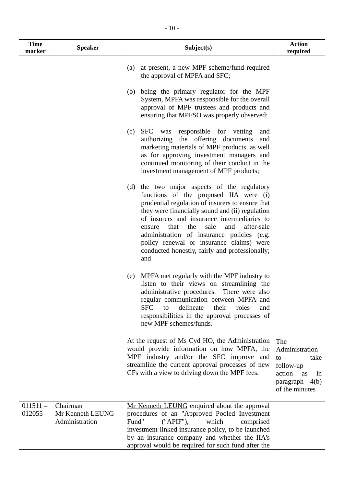| <b>Time</b><br>marker | <b>Speaker</b>                                 | Subject(s)                                                                                                                                                                                                                                                                                                                                                                                                                                              | <b>Action</b><br>required                                                                                    |
|-----------------------|------------------------------------------------|---------------------------------------------------------------------------------------------------------------------------------------------------------------------------------------------------------------------------------------------------------------------------------------------------------------------------------------------------------------------------------------------------------------------------------------------------------|--------------------------------------------------------------------------------------------------------------|
|                       |                                                | at present, a new MPF scheme/fund required<br>(a)<br>the approval of MPFA and SFC;                                                                                                                                                                                                                                                                                                                                                                      |                                                                                                              |
|                       |                                                | being the primary regulator for the MPF<br>(b)<br>System, MPFA was responsible for the overall<br>approval of MPF trustees and products and<br>ensuring that MPFSO was properly observed;                                                                                                                                                                                                                                                               |                                                                                                              |
|                       |                                                | <b>SFC</b><br>was responsible for vetting<br>(c)<br>and<br>authorizing the offering documents<br>and<br>marketing materials of MPF products, as well<br>as for approving investment managers and<br>continued monitoring of their conduct in the<br>investment management of MPF products;                                                                                                                                                              |                                                                                                              |
|                       |                                                | the two major aspects of the regulatory<br>(d)<br>functions of the proposed IIA were (i)<br>prudential regulation of insurers to ensure that<br>they were financially sound and (ii) regulation<br>of insurers and insurance intermediaries to<br>sale<br>after-sale<br>that<br>the<br>and<br>ensure<br>administration of insurance policies (e.g.<br>policy renewal or insurance claims) were<br>conducted honestly, fairly and professionally;<br>and |                                                                                                              |
|                       |                                                | MPFA met regularly with the MPF industry to<br>(e)<br>listen to their views on streamlining the<br>administrative procedures.<br>There were also<br>regular communication between MPFA and<br><b>SFC</b><br>to<br>delineate<br>their<br>roles<br>and<br>responsibilities in the approval processes of<br>new MPF schemes/funds.                                                                                                                         |                                                                                                              |
|                       |                                                | At the request of Ms Cyd HO, the Administration<br>would provide information on how MPFA, the<br>MPF industry and/or the SFC improve and<br>streamline the current approval processes of new<br>CFs with a view to driving down the MPF fees.                                                                                                                                                                                                           | The<br>Administration<br>to<br>take<br>follow-up<br>action<br>as<br>in<br>paragraph $4(b)$<br>of the minutes |
| $011511 -$<br>012055  | Chairman<br>Mr Kenneth LEUNG<br>Administration | Mr Kenneth LEUNG enquired about the approval<br>procedures of an "Approved Pooled Investment<br>Fund"<br>("APIF"),<br>which<br>comprised<br>investment-linked insurance policy, to be launched<br>by an insurance company and whether the IIA's<br>approval would be required for such fund after the                                                                                                                                                   |                                                                                                              |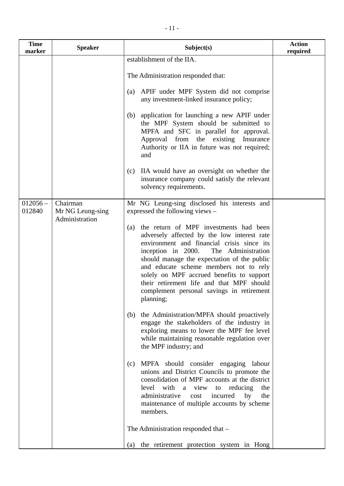| <b>Time</b><br>marker | <b>Speaker</b>               | Subject(s)                                                                                                                                                                                                                                                                                                                                                                                                                          | <b>Action</b><br>required |
|-----------------------|------------------------------|-------------------------------------------------------------------------------------------------------------------------------------------------------------------------------------------------------------------------------------------------------------------------------------------------------------------------------------------------------------------------------------------------------------------------------------|---------------------------|
|                       |                              | establishment of the IIA.                                                                                                                                                                                                                                                                                                                                                                                                           |                           |
|                       |                              | The Administration responded that:                                                                                                                                                                                                                                                                                                                                                                                                  |                           |
|                       |                              | APIF under MPF System did not comprise<br>(a)<br>any investment-linked insurance policy;                                                                                                                                                                                                                                                                                                                                            |                           |
|                       |                              | application for launching a new APIF under<br>(b)<br>the MPF System should be submitted to<br>MPFA and SFC in parallel for approval.<br>Approval from the existing<br>Insurance<br>Authority or IIA in future was not required;<br>and                                                                                                                                                                                              |                           |
|                       |                              | IIA would have an oversight on whether the<br>(c)<br>insurance company could satisfy the relevant<br>solvency requirements.                                                                                                                                                                                                                                                                                                         |                           |
| $012056 -$<br>012840  | Chairman<br>Mr NG Leung-sing | Mr NG Leung-sing disclosed his interests and<br>expressed the following views –                                                                                                                                                                                                                                                                                                                                                     |                           |
|                       | Administration               | the return of MPF investments had been<br>(a)<br>adversely affected by the low interest rate<br>environment and financial crisis since its<br>inception in 2000.<br>The Administration<br>should manage the expectation of the public<br>and educate scheme members not to rely<br>solely on MPF accrued benefits to support<br>their retirement life and that MPF should<br>complement personal savings in retirement<br>planning; |                           |
|                       |                              | the Administration/MPFA should proactively<br>(b)<br>engage the stakeholders of the industry in<br>exploring means to lower the MPF fee level<br>while maintaining reasonable regulation over<br>the MPF industry; and                                                                                                                                                                                                              |                           |
|                       |                              | MPFA should consider engaging labour<br>(c)<br>unions and District Councils to promote the<br>consolidation of MPF accounts at the district<br>level with a<br>view<br>to reducing<br>the<br>administrative<br>cost<br>incurred<br>by<br>the<br>maintenance of multiple accounts by scheme<br>members.                                                                                                                              |                           |
|                       |                              | The Administration responded that -                                                                                                                                                                                                                                                                                                                                                                                                 |                           |
|                       |                              | the retirement protection system in Hong<br>(a)                                                                                                                                                                                                                                                                                                                                                                                     |                           |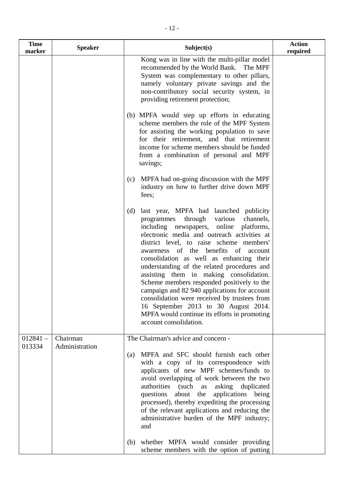| <b>Time</b><br>marker | <b>Speaker</b>             | Subject(s)                                                                                                                                                                                                                                                                                                                                                                                                                                                                                                                                                                                                                                                                            | <b>Action</b><br>required |
|-----------------------|----------------------------|---------------------------------------------------------------------------------------------------------------------------------------------------------------------------------------------------------------------------------------------------------------------------------------------------------------------------------------------------------------------------------------------------------------------------------------------------------------------------------------------------------------------------------------------------------------------------------------------------------------------------------------------------------------------------------------|---------------------------|
|                       |                            | Kong was in line with the multi-pillar model<br>recommended by the World Bank. The MPF<br>System was complementary to other pillars,<br>namely voluntary private savings and the<br>non-contributory social security system, in<br>providing retirement protection;                                                                                                                                                                                                                                                                                                                                                                                                                   |                           |
|                       |                            | (b) MPFA would step up efforts in educating<br>scheme members the role of the MPF System<br>for assisting the working population to save<br>for their retirement, and that retirement<br>income for scheme members should be funded<br>from a combination of personal and MPF<br>savings;                                                                                                                                                                                                                                                                                                                                                                                             |                           |
|                       |                            | (c) MPFA had on-going discussion with the MPF<br>industry on how to further drive down MPF<br>fees;                                                                                                                                                                                                                                                                                                                                                                                                                                                                                                                                                                                   |                           |
|                       |                            | last year, MPFA had launched publicity<br>(d)<br>through<br>various<br>channels,<br>programmes<br>including newspapers, online<br>platforms,<br>electronic media and outreach activities at<br>district level, to raise scheme members'<br>awareness of the benefits of account<br>consolidation as well as enhancing their<br>understanding of the related procedures and<br>assisting them in making consolidation.<br>Scheme members responded positively to the<br>campaign and 82 940 applications for account<br>consolidation were received by trustees from<br>16 September 2013 to 30 August 2014.<br>MPFA would continue its efforts in promoting<br>account consolidation. |                           |
| $012841 -$<br>013334  | Chairman<br>Administration | The Chairman's advice and concern -<br>MPFA and SFC should furnish each other<br>(a)<br>with a copy of its correspondence with<br>applicants of new MPF schemes/funds to<br>avoid overlapping of work between the two<br>asking duplicated<br>authorities (such<br>as<br>about the<br>applications being<br>questions<br>processed), thereby expediting the processing<br>of the relevant applications and reducing the<br>administrative burden of the MPF industry;<br>and                                                                                                                                                                                                          |                           |

(b) whether MPFA would consider providing scheme members with the option of putting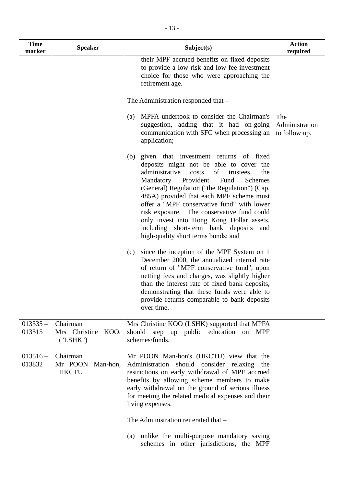| <b>Time</b><br>marker | <b>Speaker</b>                                | Subject(s)                                                                                                                                                                                                                                                                                                                                                                                                                                                                                                        | <b>Action</b><br>required              |
|-----------------------|-----------------------------------------------|-------------------------------------------------------------------------------------------------------------------------------------------------------------------------------------------------------------------------------------------------------------------------------------------------------------------------------------------------------------------------------------------------------------------------------------------------------------------------------------------------------------------|----------------------------------------|
|                       |                                               | their MPF accrued benefits on fixed deposits<br>to provide a low-risk and low-fee investment<br>choice for those who were approaching the<br>retirement age.                                                                                                                                                                                                                                                                                                                                                      |                                        |
|                       |                                               | The Administration responded that –                                                                                                                                                                                                                                                                                                                                                                                                                                                                               |                                        |
|                       |                                               | MPFA undertook to consider the Chairman's<br>(a)<br>suggestion, adding that it had on-going<br>communication with SFC when processing an<br>application;                                                                                                                                                                                                                                                                                                                                                          | The<br>Administration<br>to follow up. |
|                       |                                               | given that investment returns of fixed<br>(b)<br>deposits might not be able to cover the<br>administrative<br>of<br>costs<br>the<br>trustees,<br>Mandatory Provident<br>Fund<br>Schemes<br>(General) Regulation ("the Regulation") (Cap.<br>485A) provided that each MPF scheme must<br>offer a "MPF conservative fund" with lower<br>risk exposure. The conservative fund could<br>only invest into Hong Kong Dollar assets,<br>including short-term bank deposits<br>and<br>high-quality short terms bonds; and |                                        |
|                       |                                               | since the inception of the MPF System on 1<br>(c)<br>December 2000, the annualized internal rate<br>of return of "MPF conservative fund", upon<br>netting fees and charges, was slightly higher<br>than the interest rate of fixed bank deposits,<br>demonstrating that these funds were able to<br>provide returns comparable to bank deposits<br>over time.                                                                                                                                                     |                                        |
| $013335 -$<br>013515  | Chairman<br>Mrs Christine<br>KOO,<br>("LSHK") | Mrs Christine KOO (LSHK) supported that MPFA<br>should step up public education on MPF<br>schemes/funds.                                                                                                                                                                                                                                                                                                                                                                                                          |                                        |
| $013516 -$<br>013832  | Chairman<br>Mr POON Man-hon,<br><b>HKCTU</b>  | Mr POON Man-hon's (HKCTU) view that the<br>Administration should consider relaxing the<br>restrictions on early withdrawal of MPF accrued<br>benefits by allowing scheme members to make<br>early withdrawal on the ground of serious illness<br>for meeting the related medical expenses and their<br>living expenses.<br>The Administration reiterated that -<br>unlike the multi-purpose mandatory saving<br>$\left( a\right)$<br>schemes in other jurisdictions, the MPF                                      |                                        |